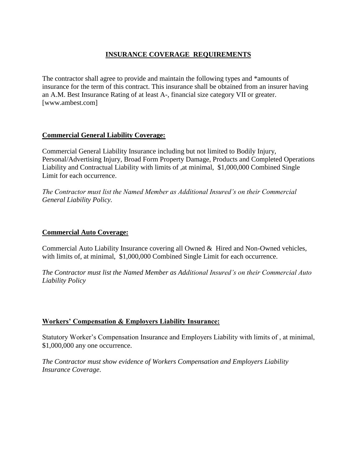# **INSURANCE COVERAGE REQUIREMENTS**

The contractor shall agree to provide and maintain the following types and \*amounts of insurance for the term of this contract. This insurance shall be obtained from an insurer having an A.M. Best Insurance Rating of at least A-, financial size category VII or greater. [www.ambest.com]

# **Commercial General Liability Coverage:**

Commercial General Liability Insurance including but not limited to Bodily Injury, Personal/Advertising Injury, Broad Form Property Damage, Products and Completed Operations Liability and Contractual Liability with limits of ,at minimal, \$1,000,000 Combined Single Limit for each occurrence.

*The Contractor must list the Named Member as Additional Insured's on their Commercial General Liability Policy.*

#### **Commercial Auto Coverage:**

Commercial Auto Liability Insurance covering all Owned & Hired and Non-Owned vehicles, with limits of, at minimal, \$1,000,000 Combined Single Limit for each occurrence.

*The Contractor must list the Named Member as Additional Insured's on their Commercial Auto Liability Policy*

# **Workers' Compensation & Employers Liability Insurance:**

Statutory Worker's Compensation Insurance and Employers Liability with limits of , at minimal, \$1,000,000 any one occurrence.

*The Contractor must show evidence of Workers Compensation and Employers Liability Insurance Coverage*.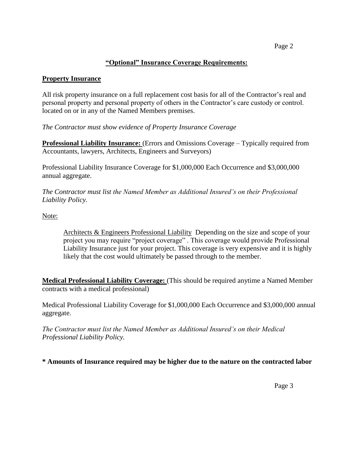### **"Optional" Insurance Coverage Requirements:**

#### **Property Insurance**

All risk property insurance on a full replacement cost basis for all of the Contractor's real and personal property and personal property of others in the Contractor's care custody or control. located on or in any of the Named Members premises.

*The Contractor must show evidence of Property Insurance Coverage*

**Professional Liability Insurance:** (Errors and Omissions Coverage – Typically required from Accountants, lawyers, Architects, Engineers and Surveyors)

Professional Liability Insurance Coverage for \$1,000,000 Each Occurrence and \$3,000,000 annual aggregate.

*The Contractor must list the Named Member as Additional Insured's on their Professional Liability Policy.*

Note:

Architects & Engineers Professional Liability Depending on the size and scope of your project you may require "project coverage" . This coverage would provide Professional Liability Insurance just for your project. This coverage is very expensive and it is highly likely that the cost would ultimately be passed through to the member.

**Medical Professional Liability Coverage:** (This should be required anytime a Named Member contracts with a medical professional)

Medical Professional Liability Coverage for \$1,000,000 Each Occurrence and \$3,000,000 annual aggregate.

*The Contractor must list the Named Member as Additional Insured's on their Medical Professional Liability Policy.*

**\* Amounts of Insurance required may be higher due to the nature on the contracted labor**

Page 3